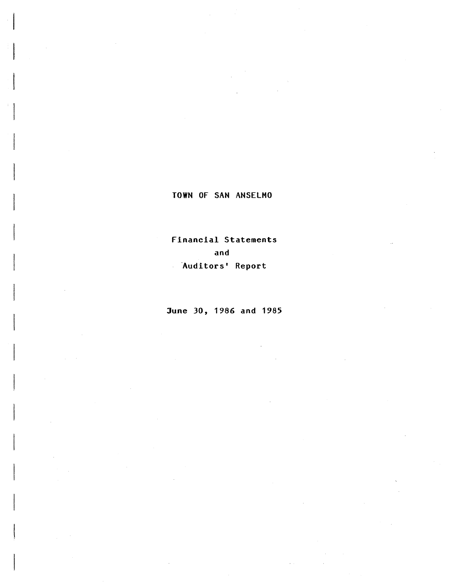i<br>Indonesia<br>Indonesia i<br>U

> Financial Statements and Auditors' Report

June 30, 1986 and 1985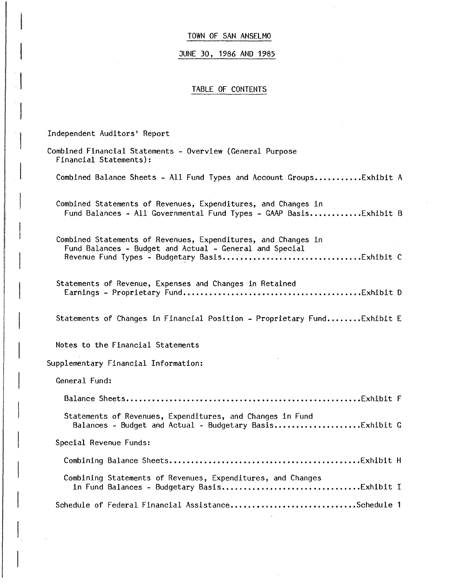#### JUNE 30, 1986 AND 1985

#### TABLE OF CONTENTS

Independent Auditors' Report

 $\frac{1}{2}$ 

 $\begin{array}{c} \hline \end{array}$ 

 $\begin{array}{c} \hline \end{array}$ 

I I

 $\overline{\phantom{a}}$ 

I

Combined Financial Statements - Overview (General Purpose Financial Statements): Combined Balance Sheets - All Fund Types and Account Groups...........Exhibit A Combined Statements of Revenues, Expenditures, and Changes in Fund Balances - All Governmental Fund Types - GAAP Basis............Exhibit B Combined Statements of Revenues, Expenditures, and Changes in Fund Balances - Budget and Actual - General and Special Revenue Fund Types - Budget~ry Basis ••••••••••••••••••••••••••••.••• Exhibit C Statements of Revenue, Expenses and Changes in Retained Earnings - Proprietary Fund •••••••••••••••••••••••••••••••••••.••••• Exhibit D Statements of Changes in Financial Position - Proprietary Fund........Exhibit E Notes to the Financial Statements Supplementary Financial Information: General Fund: Balance Sheets •••••••••••••••••••••••••••••••••••••••••••••••••••••• Exhibit F Statements of Revenues, Expenditures, and Changes in Fund Balances - Budget and Actual - Budgetary Basis •.•••••••••••.•••••• Exhibit G Special Revenue Funds: Combining Balance Sheets ••••••••••••••••.••••••••••••••••••.•••••••• Exhibit H Combining Statements of Revenues, Expenditures, and Changes in Fund Balances - Budgetary Basis~ •••.•.••••••••••••••••••••••••• Exhibit I Schedule of Federal Financial Assistance...............................Schedule 1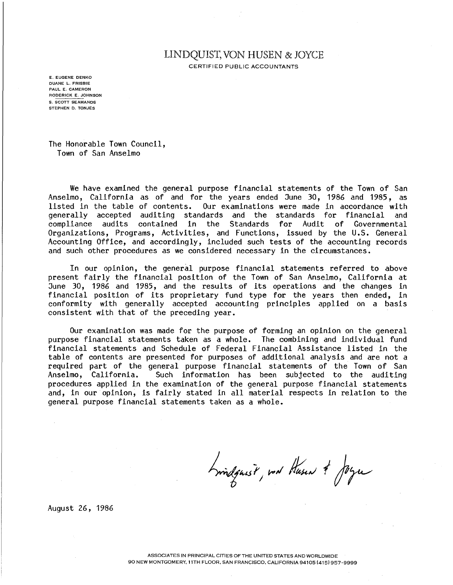## LINDQUIST, VON HUSEN & JOYCE

CERTIFIED PUBLIC ACCOUNTANTS

E. EUGENE DENKO DUANE L. FRISBIE PAUL E. CAMERON RODERICK E. JOHNSON S. SCOTT SEAMANDS STEPHEN D. TONJES

The Honorable Town Council, Town of San Anselmo

We have examined the general purpose financial statements of the Town of San Anselmo, California as of and for the years ended June 30, 1986 and 1985, as listed in the table of contents. Our examinations were made in accordance with generally accepted auditing standards and the standards for financial and generally accepted auditing standards and the standards for financial and<br>compliance audits contained in the Standards for Audit of Governmental contained in the Standards for Organizations, Programs, Activities, and Functions, issued by the U.S. General Accounting Office, and accordingly, included such tests of the accounting records and such other procedures as we considered necessary in the circumstances.

In our opinion, the general purpose financial statements referred to above present fairly the financial position of the Town of San Anselmo, California at June 30, 1986 and 1985, and the results of its operations and the changes in financial position of its proprietary fund type for the years then ended, in conformity with generally accepted accounting principles applied on a basis consistent with that of the preceding year.

Our examination was made for the purpose of forming an opinion on the general purpose financial statements taken as a whole. The combining and individual fund financial statements and Schedule of Federal Financial Assistance listed in the table of contents are presented for purposes of additional analysis and are not a required part of the general purpose financial statements of the Town of San Anselmo, California. Such information has been subjected to the auditing procedures applied in the examination of the general purpose financial statements and, in our opinion, is fairly stated in all material respects in relation to the general purpose financial statements taken as a whole.

Lindquest, not Husen & Joyce

August 26, 1986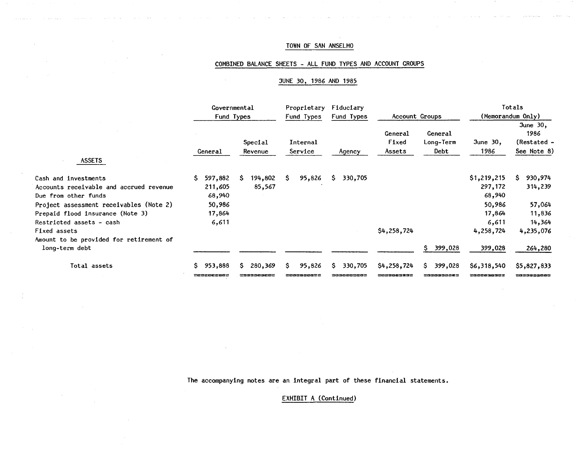## COMBINED BALANCE SHEETS - ALL FUND TYPES AND ACCOUNT GROUPS

#### JUNE 30, 1986 AND 1985

|                                         | Governmental<br>Fund Types |                    | Fiduciary<br>Proprietary<br>Fund Types<br>Fund Types |               | Account Groups             |                              | Totals<br>(Memorandum Only) |                                                  |  |
|-----------------------------------------|----------------------------|--------------------|------------------------------------------------------|---------------|----------------------------|------------------------------|-----------------------------|--------------------------------------------------|--|
| <b>ASSETS</b>                           | General                    | Special<br>Revenue | Internal<br>Service                                  | Agency        | General<br>Fixed<br>Assets | General<br>Long-Term<br>Debt | June 30,<br>1986            | June $30,$<br>1986<br>(Restated -<br>See Note 8) |  |
|                                         |                            |                    |                                                      |               |                            |                              |                             |                                                  |  |
| Cash and investments                    | 597,882<br>S.              | 194,802<br>-S      | S.<br>95,826                                         | 330,705<br>S. |                            |                              | \$1,219,215                 | 930,974<br>S.                                    |  |
| Accounts receivable and accrued revenue | 211,605                    | 85,567             |                                                      |               |                            |                              | 297,172                     | 314,239                                          |  |
| Due from other funds                    | 68,940                     |                    |                                                      |               |                            |                              | 68,940                      |                                                  |  |
| Project assessment receivables (Note 2) | 50,986                     |                    |                                                      |               |                            |                              | 50,986                      | 57,064                                           |  |
| Prepaid flood insurance (Note 3)        | 17,864                     |                    |                                                      |               |                            |                              | 17,864                      | 11,836                                           |  |
| Restricted assets - cash                | 6,611                      |                    |                                                      |               |                            |                              | 6,611                       | 14,364                                           |  |
| Fixed assets                            |                            |                    |                                                      |               | \$4,258,724                |                              | 4,258,724                   | 4,235,076                                        |  |
| Amount to be provided for retirement of |                            |                    |                                                      |               |                            |                              |                             |                                                  |  |
| long-term debt                          |                            |                    |                                                      |               |                            | S.<br>399,028                | 399,028                     | 264,280                                          |  |
| Total assets                            | 953,888                    | 280,369<br>S.      | 95,826<br>S.                                         | 330,705<br>S. | \$4,258,724                | 399,028<br>S.                | \$6,318,540                 | \$5,827,833                                      |  |
|                                         | <b>Pescetesca</b>          | 23338868           |                                                      |               | :ezeeesss                  | ----------                   | =982233822                  | =========                                        |  |

 $\sim$   $\alpha$ 

 $\sim$ 

The accompanying notes are an integral part of these financial statements.

EXHIBIT A (Continued)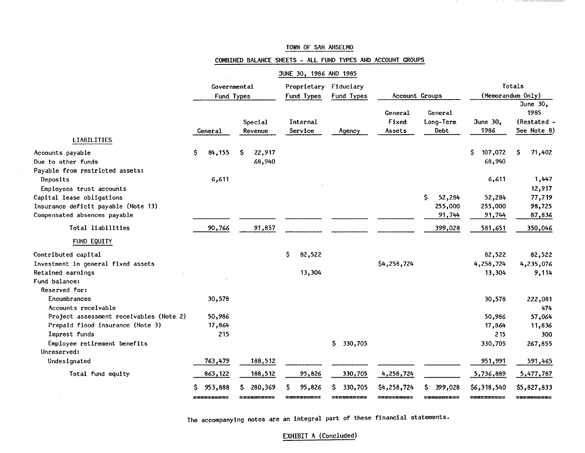| Totals<br>(Memorandum Only)                                                                                                                                                                  |
|----------------------------------------------------------------------------------------------------------------------------------------------------------------------------------------------|
|                                                                                                                                                                                              |
|                                                                                                                                                                                              |
| June 30,<br>1985<br>(Restated -<br>See Note 8)                                                                                                                                               |
|                                                                                                                                                                                              |
| Ŝ<br>71,402                                                                                                                                                                                  |
| 1,447<br>12,917                                                                                                                                                                              |
| 77,719                                                                                                                                                                                       |
| 98,725                                                                                                                                                                                       |
| 87,836                                                                                                                                                                                       |
| 350,046                                                                                                                                                                                      |
|                                                                                                                                                                                              |
| 82,522                                                                                                                                                                                       |
| 4,235,076                                                                                                                                                                                    |
| 9,114                                                                                                                                                                                        |
|                                                                                                                                                                                              |
| 222,081                                                                                                                                                                                      |
| 474                                                                                                                                                                                          |
| 57,064                                                                                                                                                                                       |
| 11,836                                                                                                                                                                                       |
| 300                                                                                                                                                                                          |
| 267,855                                                                                                                                                                                      |
| 591,465                                                                                                                                                                                      |
| 5,477,787                                                                                                                                                                                    |
| \$5,827,833<br>sasacossas                                                                                                                                                                    |
| 107,072<br>68,940<br>6,611<br>52,284<br>255,000<br>91,744<br>581,651<br>82,522<br>4,258,724<br>13,304<br>30,578<br>50,986<br>17,864<br>215<br>330,705<br>951,991<br>5,736,889<br>\$6,318,540 |

 $\mathcal{L}_{\text{max}}$  and  $\mathcal{L}_{\text{max}}$  and  $\mathcal{L}_{\text{max}}$ 

## COMBINED BALANCE SHEETS - ALL FUND TYPES AND ACCOUNT GROUPS

The accompanying notes are an integral part of these financial statements.

## EXHIBIT A (Concluded)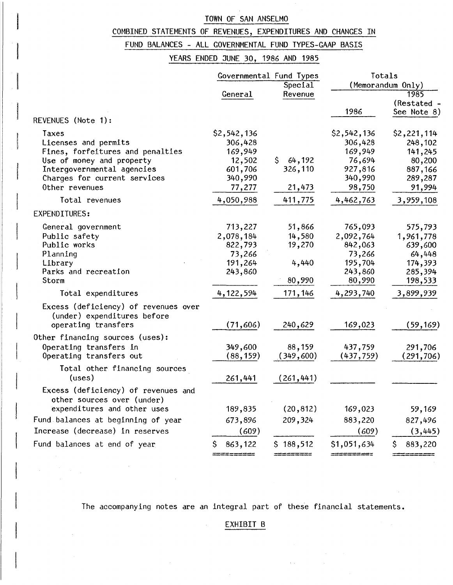## COMBINED STATEMENTS OF REVENUES, EXPENDITURES AND CHANGES IN

# FUND BALANCES - ALL GOVERNMENTAL FUND TYPES-GAAP BASIS

## YEARS ENDED JUNE 30, 1986 AND 1985

|                                      |             | Governmental Fund Types | Totals            |                   |  |  |
|--------------------------------------|-------------|-------------------------|-------------------|-------------------|--|--|
|                                      |             | Special                 |                   | (Memorandum Only) |  |  |
|                                      | General     | Revenue                 |                   | 1985              |  |  |
|                                      |             |                         |                   | (Restated -       |  |  |
|                                      |             |                         | 1986              | See Note 8)       |  |  |
| REVENUES (Note 1):                   |             |                         |                   |                   |  |  |
| Taxes                                | \$2,542,136 |                         | \$2,542,136       | \$2,221,114       |  |  |
| Licenses and permits                 | 306,428     |                         | 306,428           | 248,102           |  |  |
| Fines, forfeitures and penalties     | 169,949     |                         | 169,949           | 141,245           |  |  |
| Use of money and property            | 12,502      | \$<br>64,192            | 76,694            | 80,200            |  |  |
| Intergovernmental agencies           | 601,706     | 326,110                 | 927,816           | 887,166           |  |  |
| Charges for current services         | 340,990     |                         | 340,990           | 289,287           |  |  |
| Other revenues                       | 77,277      | 21,473                  | 98,750            | 91,994            |  |  |
| Total revenues                       | 4,050,988   | 411,775                 | 4,462,763         | 3,959,108         |  |  |
| EXPENDITURES:                        |             |                         |                   |                   |  |  |
| General government                   | 713,227     | 51,866                  | 765,093           | 575,793           |  |  |
| Public safety                        | 2,078,184   | 14,580                  | 2,092,764         | 1,961,778         |  |  |
| Public works                         | 822,793     | 19,270                  | 842,063           | 639,600           |  |  |
| Planning                             | 73,266      |                         | 73,266            | 64,448            |  |  |
| Library                              | 191,264     | 4,440                   | 195,704           | 174,393           |  |  |
| Parks and recreation                 | 243,860     |                         | 243,860           | 285,394           |  |  |
| Storm                                |             | 80,990                  | 80,990            | 198,533           |  |  |
| Total expenditures                   | 4, 122, 594 | 171, 146                | 4,293,740         | 3,899,939         |  |  |
| Excess (deficiency) of revenues over |             |                         |                   |                   |  |  |
| (under) expenditures before          |             |                         |                   |                   |  |  |
| operating transfers                  | (71, 606)   | 240,629                 | 169,023           | (59, 169)         |  |  |
| Other financing sources (uses):      |             |                         |                   |                   |  |  |
| Operating transfers in               | 349,600     | 88,159                  | 437,759           | 291,706           |  |  |
| Operating transfers out              | (88, 159)   | (349,600)               | (437,759)         | (291, 706)        |  |  |
| Total other financing sources        |             |                         |                   |                   |  |  |
| (uses)                               | 261,441     | (261, 441)              |                   |                   |  |  |
|                                      |             |                         |                   |                   |  |  |
| Excess (deficiency) of revenues and  |             |                         |                   |                   |  |  |
| other sources over (under)           |             |                         |                   |                   |  |  |
| expenditures and other uses          | 189,835     | (20, 812)               | 169,023           | 59,169            |  |  |
| Fund balances at beginning of year   | 673,896     | 209,324                 | 883,220           | 827,496           |  |  |
| Increase (decrease) in reserves      | (609)       |                         | (609)             | (3,445)           |  |  |
| Fund balances at end of year         | 863,122     | \$188,512               | \$1,051,634       | 883,220<br>Ş.     |  |  |
|                                      | =======     |                         | ----------------- |                   |  |  |

The accompanying notes are an integral part of these financial statements.

 $\sim$ 

 $\mathcal{L}$ 

 $\bar{z}$ 

## EXHIBIT B

 $\mathcal{L}(\mathcal{L}^{\text{max}})$ 

 $\mathcal{A}^{\mathcal{A}}$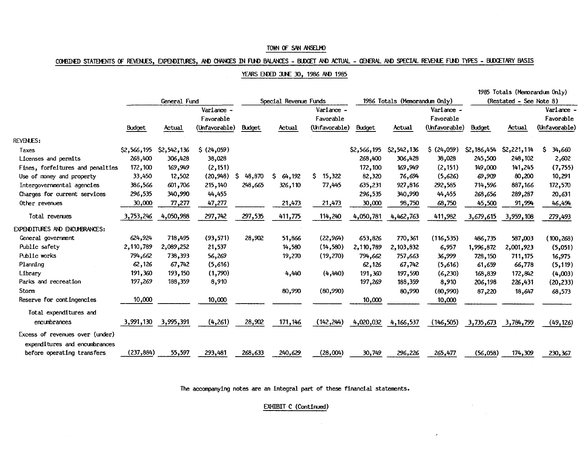## COMBINED STATEMENTS OF REVENUES, EXPENDITURES, AND CHANGES IN FUND BALANCES - BUDGET AND ACTUAL - GENERAL AND SPECIAL REVENUE FUND TYPES - BUDGETARY BASIS

#### YEARS ENDED JUNE 30, 1986 AND 1985

|                                       |             |                     |               |              |                       |               |               |                               |               |               | 1985 Totals (Memorandum Only) |               |
|---------------------------------------|-------------|---------------------|---------------|--------------|-----------------------|---------------|---------------|-------------------------------|---------------|---------------|-------------------------------|---------------|
|                                       |             | General Fund        |               |              | Special Revenue Funds |               |               | 1986 Totals (Memorandum Only) |               |               | (Restated - See Note 8)       |               |
|                                       |             |                     | Variance -    |              |                       | Variance -    |               |                               | Variance -    |               |                               | Variance -    |
|                                       |             |                     | Favorable     |              |                       | Favorable     |               |                               | Favorable     |               |                               | Favorable     |
|                                       | Budget      | Actual              | (Unfavorable) | Budget       | Actual                | (Unfavorable) | <b>Budget</b> | Actual                        | (Unfavorable) | <b>Budget</b> | Actual                        | (Unfavorable) |
| <b>REVENUES:</b>                      |             |                     |               |              |                       |               |               |                               |               |               |                               |               |
| Taxes                                 | \$2,566,195 | \$2,542,136         | \$ (24,059)   |              |                       |               | \$2,566,195   | \$2,542,136                   | \$ (24,059)   | \$2,186,454   | \$2,221,114                   | S.<br>34,660  |
| Licenses and permits                  | 268,400     | 306,428             | 38,028        |              |                       |               | 268,400       | 306,428                       | 38,028        | 245,500       | 248,102                       | 2,602         |
| Fines, forfeitures and penalties      | 172,100     | 169,949             | (2, 151)      |              |                       |               | 172,100       | 169,949                       | (2, 151)      | 149,000       | 141,245                       | (7, 755)      |
| Use of money and property             | 33,450      | 12,502              | (20, 948)     | S.<br>48,870 | \$.<br>64,192         | 15,322<br>S   | 82,320        | 76,694                        | (5,626)       | 69,909        | 80,200                        | 10,291        |
| Intergovernmental agencies            | 386,566     | 601,706             | 215,140       | 248,665      | 326,110               | 77,445        | 635,231       | 927,816                       | 292,585       | 714,596       | 887,166                       | 172,570       |
| Charges for current services          | 296,535     | 340,990             | 44,455        |              |                       |               | 296,535       | 340,990                       | 44,455        | 268,656       | 289,287                       | 20,631        |
| Other revenues                        | 30,000      | 77,277              | 47,277        |              | 21,473                | 21,473        | 30,000        | 98,750                        | 68,750        | 45,500        | 91,994                        | 46,494        |
| Total revenues                        | 3,753,246   | 4,050,988           | 297,742       | 297,535      | 411,775               | 114,240       | 4,050,781     | 4,462,763                     | 411,982       | 3,679,615     | 3,959,108                     | 279,493       |
| <b>EXPENDITURES AND ENCUMBRANCES:</b> |             |                     |               |              |                       |               |               |                               |               |               |                               |               |
| General government                    | 624,924     | 718,495             | (93, 571)     | 28,902       | 51,866                | (22, 964)     | 653,826       | 770,361                       | (116, 535)    | 486,735       | 587,003                       | (100, 268)    |
| Public safety                         | 2,110,789   | 2,089,252           | 21,537        |              | 14,580                | (14,580)      | 2,110,789     | 2,103,832                     | 6,957         | 1,996,872     | 2,001,923                     | (5,051)       |
| Public works                          | 794,662     | 738,393             | 56,269        |              | 19,270                | (19, 270)     | 794,662       | 757,663                       | 36,999        | 728,150       | 711,175                       | 16,975        |
| Planning                              | 62,126      | 67,742              | (5,616)       |              |                       |               | 62,126        | 67,742                        | (5,616)       | 61,659        | 66,778                        | (5, 119)      |
| Library                               | 191,360     | 193.150             | (1,790)       |              | 4,440                 | (4,440)       | 191,360       | 197,590                       | (6, 230)      | 168,839       | 172,842                       | (4,003)       |
| Parks and recreation                  | 197,269     | 188,359             | 8,910         |              |                       |               | 197,269       | 188,359                       | 8,910         | 206,198       | 226,431                       | (20, 233)     |
| Storm                                 |             |                     |               |              | 80,990                | (80,990)      |               | 80,990                        | (80,990)      | 87,220        | 18,647                        | 68,573        |
| Reserve for contingencies             | 10,000      |                     | 10,000        |              |                       |               | 10,000        |                               | 10,000        |               |                               |               |
| Total expenditures and                |             |                     |               |              |                       |               |               |                               |               |               |                               |               |
| encumbrances                          |             | 3,991,130 3,995,391 | (4,261)       | 28,902       | 171,146               | (142, 244)    | 4,020,032     | 4,166,537                     | (146, 505)    | 3,735,673     | 3,784,799                     | (49, 126)     |
| Excess of revenues over (under)       |             |                     |               |              |                       |               |               |                               |               |               |                               |               |
| expenditures and encumbrances         |             |                     |               |              |                       |               |               |                               |               |               |                               |               |
| before operating transfers            | (237, 884)  | 55,597              | 293,481       | 268,633      | 240,629               | (28,004)      | 30,749        | 296,226                       | 265,477       | (56, 058)     | 174,309                       | 230,367       |

The accompanying notes are an integral part of these financial statements.

EXHIBIT C (Continued)

 $\bar{z}$ 

 $\sim$ 

 $\epsilon$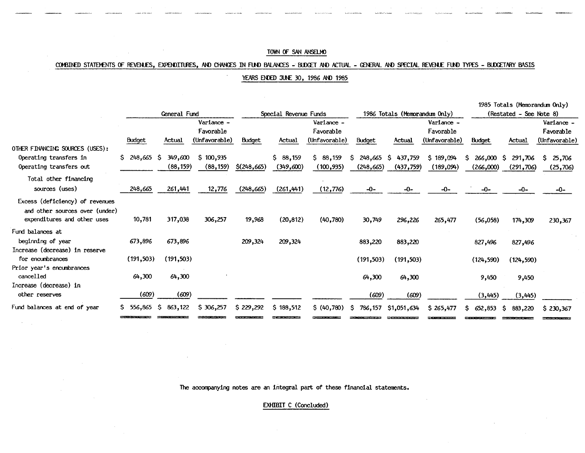#### COMBINED STATEMENTS OF REVENJES, EXPENDITURES, AND CHANGES IN FUND BALANCES - BUDGET AND ACTUAL - GENERAL AND SPECIAL REVENJE FUND TYPES - BUDGETARY BASIS

YEARS ENDED JUNE 30, 1986 AND 1985

|                                 |                 |              |               |               |                       |               |               |                               |               |                    | 1985 Totals (Memorandum Only) |               |
|---------------------------------|-----------------|--------------|---------------|---------------|-----------------------|---------------|---------------|-------------------------------|---------------|--------------------|-------------------------------|---------------|
|                                 |                 | General Fund |               |               | Special Revenue Funds |               |               | 1986 Totals (Memorandum Only) |               |                    | (Restated - See Note 8)       |               |
|                                 |                 |              | Variance -    |               |                       | Variance -    |               |                               | Variance -    |                    |                               | Variance -    |
|                                 |                 |              | Favorable     |               |                       | Favorable     |               |                               | Favorable     |                    |                               | Favorable     |
|                                 | <b>Budget</b>   | Actual       | (Unfavorable) | <b>Budget</b> | Actual                | (Unfavorable) | <b>Budget</b> | Actual                        | (Unfavorable) | <b>Budget</b>      | Actual                        | (Unfavorable) |
| OTHER FINANCING SOURCES (USES): |                 |              |               |               |                       |               |               |                               |               |                    |                               |               |
| Operating transfers in          | $$248,665$ \$   | 349,600      | \$100,935     |               | \$88,159              | \$88,159      | 248,665<br>S. | -S<br>437,759                 | \$189,094     | $266,000$ \$<br>S. | 291,706                       | S.<br>25,706  |
| Operating transfers out         |                 | (88, 159)    | (88, 159)     | $$$ (248,665) | (349,600)             | (100, 935)    | (248, 665)    | (437, 759)                    | (189,094)     | (266,000)          | (291, 706)                    | (25,706)      |
| Total other financing           |                 |              |               |               |                       |               |               |                               |               |                    |                               |               |
| sources (uses)                  | 248,665         | 261,441      | 12,776        | (248, 665)    | (261, 441)            | (12, 776)     | $-0-$         | $-0-$                         | $-0-$         | $-0-$              | $-0-$                         | -0-           |
| Excess (deficiency) of revenues |                 |              |               |               |                       |               |               |                               |               |                    |                               |               |
| and other sources over (under)  |                 |              |               |               |                       |               |               |                               |               |                    |                               |               |
| expenditures and other uses     | 10,781          | 317,038      | 306,257       | 19,968        | (20, 812)             | (40, 780)     | 30,749        | 296,226                       | 265,477       | (56,058)           | 174,309                       | 230,367       |
| Fund balances at                |                 |              |               |               |                       |               |               |                               |               |                    |                               |               |
| beginning of year               | 673,896         | 673,896      |               | 209,324       | 209,324               |               | 883,220       | 883,220                       |               | 827,496            | 827,496                       |               |
| Increase (decrease) in reserve  |                 |              |               |               |                       |               |               |                               |               |                    |                               |               |
| for encumbrances                | (191, 503)      | (191,503)    |               |               |                       |               | (191, 503)    | (191, 503)                    |               | (124, 590)         | (124, 590)                    |               |
| Prior year's encumbrances       |                 |              |               |               |                       |               |               |                               |               |                    |                               |               |
| cancelled                       | 64,300          | 64,300       |               |               |                       |               | 64,300        | 64,300                        |               | 9,450              | 9,450                         |               |
| Increase (decrease) in          |                 |              |               |               |                       |               |               |                               |               |                    |                               |               |
| other reserves                  | (609)           | (609)        |               |               |                       |               | (609)         | (609)                         |               | (3,445)            | (3,445)                       |               |
| Fund balances at end of year    | 556.865 S<br>S. | 863,122      | \$306,257     | \$229,292     | \$188,512             | \$ (40,780)   | S.<br>786,157 | \$1,051,634                   | \$265,477     | S.<br>652,853      | -S<br>883,220                 | \$230,367     |
|                                 |                 |              |               |               |                       |               |               |                               |               |                    |                               |               |

The accompanying notes are an integral part of these financial statements.

EXHIBIT C (Concluded)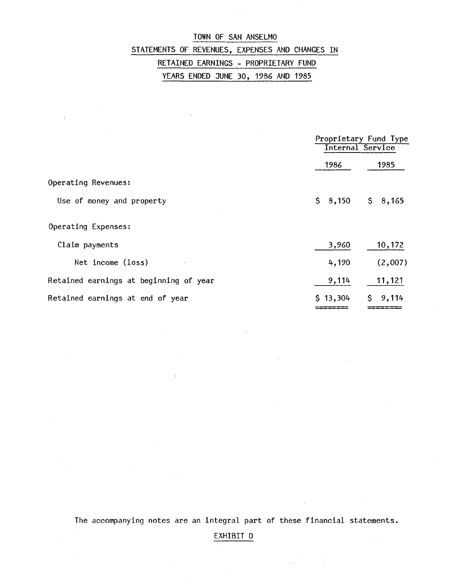# TOWN OF SAN ANSELMO STATEMENTS OF REVENUES, EXPENSES AND CHANGES IN RETAINED EARNINGS - PROPRIETARY FUND YEARS ENDED JUNE 30, 1986 AND 1985

 $\chi$ 

 $\bar{\mathcal{A}}$ 

|                                        |          | Proprietary Fund Type<br>Internal Service |
|----------------------------------------|----------|-------------------------------------------|
|                                        | 1986     | 1985                                      |
| Operating Revenues:                    |          |                                           |
| Use of money and property              | \$8,150  | \$8,165                                   |
| Operating Expenses:                    |          |                                           |
| Claim payments                         | 3,960    | 10,172                                    |
| Net income (loss)                      | 4,190    | (2,007)                                   |
| Retained earnings at beginning of year | 9,114    | 11,121                                    |
| Retained earnings at end of year       | \$13,304 | Ŝ.<br>9,114                               |

The accompanying notes are an integral part of these financial statements.

EXHIBIT D

 $\bar{z}$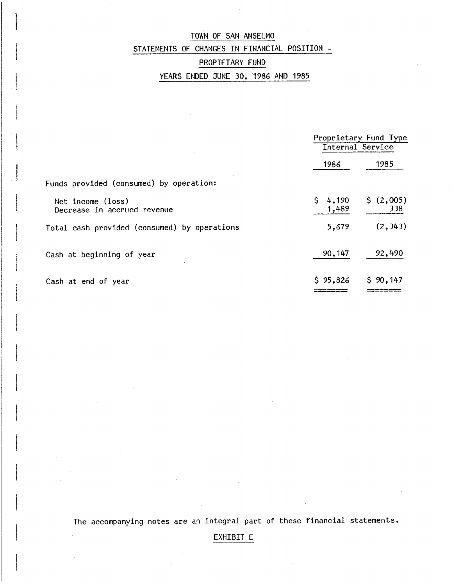## TOWN OF SAN ANSELMO STATEMENTS OF CHANGES IN FINANCIAL POSITION -

## PROPIETARY FUND

## YEARS ENDED JUNE 30, 1986 AND 1985

|                                                  |                      | Proprietary Fund Type<br>Internal Service |
|--------------------------------------------------|----------------------|-------------------------------------------|
|                                                  | 1986                 | 1985                                      |
| Funds provided (consumed) by operation:          |                      |                                           |
| Net income (loss)<br>Decrease in accrued revenue | 4,190<br>S.<br>1,489 | \$(2,005)<br>338                          |
| Total cash provided (consumed) by operations     | 5,679                | (2, 343)                                  |
| Cash at beginning of year                        | 90,147               | 92,490                                    |
| Cash at end of year                              | \$95,826             | \$90,147                                  |

The accompanying notes are an integral part of these financial statements.

## EXHIBIT E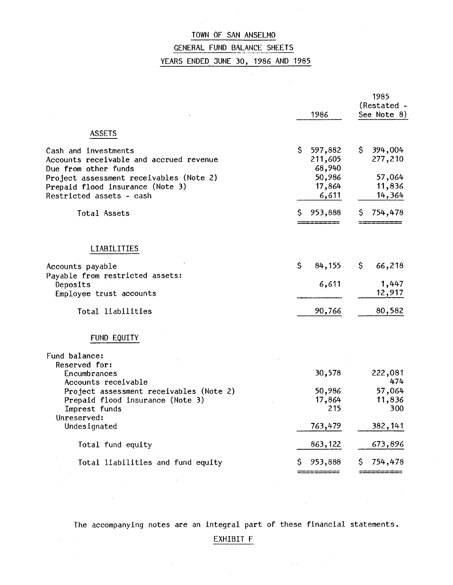## GENERAL FUND BALANCE SHEETS

 $\overline{\phantom{a}}$ 

YEARS ENDED JUNE 30, 1986 AND 1985

さん。

 $\sim$   $\sim$ 

|                                                                                                             | 1986                               | 1985<br>(Restated -<br>See Note 8) |  |  |
|-------------------------------------------------------------------------------------------------------------|------------------------------------|------------------------------------|--|--|
| <b>ASSETS</b>                                                                                               |                                    |                                    |  |  |
| Cash and investments<br>Accounts receivable and accrued revenue<br>Due from other funds                     | \$<br>597,882<br>211,605<br>68,940 | \$.<br>394,004<br>277,210          |  |  |
| Project assessment receivables (Note 2)<br>Prepaid flood insurance (Note 3)<br>Restricted assets - cash     | 50,986<br>17,864<br>6,611          | 57,064<br>11,836<br>14,364         |  |  |
| Total Assets                                                                                                | S<br>953,888                       | 754,478<br>S                       |  |  |
| <b>LIABILITIES</b>                                                                                          |                                    |                                    |  |  |
| Accounts payable<br>Payable from restricted assets:                                                         | \$<br>84,155                       | \$<br>66,218                       |  |  |
| Deposits<br>Employee trust accounts                                                                         | 6,611                              | 1,447<br>12,917                    |  |  |
| Total liabilities                                                                                           | 90,766                             | 80,582                             |  |  |
| FUND EQUITY                                                                                                 |                                    |                                    |  |  |
| Fund balance:<br>Reserved for:                                                                              |                                    |                                    |  |  |
| Encumbrances<br>Accounts receivable                                                                         | 30,578                             | 222,081<br>474                     |  |  |
| Project assessment receivables (Note 2)<br>Prepaid flood insurance (Note 3)<br>Imprest funds<br>Unreserved: | 50,986<br>17,864<br>215            | 57,064<br>11,836<br>300            |  |  |
| Undesignated                                                                                                | 763,479                            | 382,141                            |  |  |
| Total fund equity                                                                                           | 863,122                            | 673,896                            |  |  |
| Total liabilities and fund equity                                                                           | 953,888<br>\$                      | 754,478<br>S                       |  |  |

The accompanying notes are an integral part of these financial statements.

 $\sim$ 

 $\mathcal{A}(\mathcal{A})$  and  $\mathcal{A}(\mathcal{A})$ 

## EXHIBIT F

 $\sim 10^7$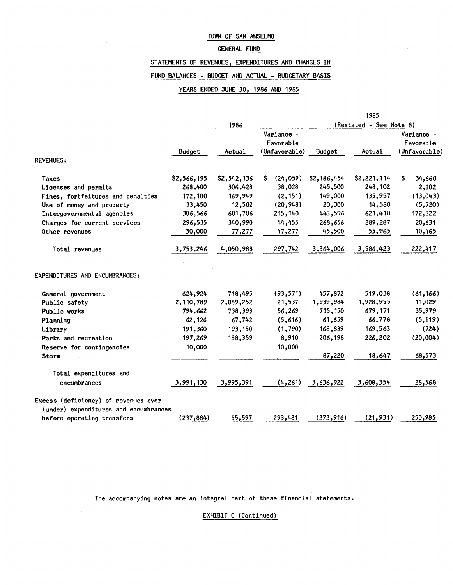#### GENERAL FUND

STATEMENTS OF REVENUES, EXPENDITURES AND CHANGES IN

## FUND BALANCES - BUDGET AND ACTUAL - BUDGETARY BASIS

#### YEARS ENDED JUNE 30, 1986 AND 1985

|                                       |             |             |                                          |               | 1985                    |                                          |
|---------------------------------------|-------------|-------------|------------------------------------------|---------------|-------------------------|------------------------------------------|
|                                       |             | 1986        |                                          |               | (Restated - See Note 8) |                                          |
|                                       | Budget      | Actual      | Variance -<br>Favorable<br>(Unfavorable) | <b>Budget</b> | Actual                  | Variance -<br>Favorable<br>(Unfavorable) |
| <b>REVENUES:</b>                      |             |             |                                          |               |                         |                                          |
| Taxes                                 | \$2,566,195 | \$2,542,136 | (24, 059)<br>S.                          | \$2,186,454   | \$2,221,114             | S<br>34,660                              |
| Licenses and permits                  | 268,400     | 306,428     | 38,028                                   | 245,500       | 248,102                 | 2,602                                    |
| Fines, fortfeitures and penalties     | 172,100     | 169,949     | (2, 151)                                 | 149,000       | 135,957                 | (13, 043)                                |
| Use of money and property             | 33,450      | 12,502      | (20, 948)                                | 20,300        | 14,580                  | (5, 720)                                 |
| Intergovernmental agencies            | 386,566     | 601,706     | 215,140                                  | 448,596       | 621,418                 | 172,822                                  |
| Charges for current services          | 296,535     | 340,990     | 44,455                                   | 268,656       | 289,287                 | 20,631                                   |
| Other revenues                        | 30,000      | 77,277      | 47,277                                   | 45,500        | 55,965                  | 10,465                                   |
| Total revenues                        | 3,753,246   | 4,050,988   | 297,742                                  | 3,364,006     | 3,586,423               | 222,417                                  |
| EXPENDITURES AND ENCUMBRANCES:        |             |             |                                          |               |                         |                                          |
| General government                    | 624,924     | 718,495     | (93, 571)                                | 457,872       | 519,038                 | (61, 166)                                |
| Public safety                         | 2,110,789   | 2,089,252   | 21,537                                   | 1,939,984     | 1,928,955               | 11,029                                   |
| Public works                          | 794,662     | 738,393     | 56,269                                   | 715,150       | 679,171                 | 35,979                                   |
| Planning                              | 62,126      | 67,742      | (5,616)                                  | 61,659        | 66,778                  | (5, 119)                                 |
| Library                               | 191,360     | 193,150     | (1,790)                                  | 168,839       | 169,563                 | (724)                                    |
| Parks and recreation                  | 197,269     | 188,359     | 8,910                                    | 206,198       | 226,202                 | (20,004)                                 |
| Reserve for contingencies             | 10,000      |             | 10,000                                   |               |                         |                                          |
| Storm                                 |             |             |                                          | 87,220        | 18,647                  | 68,573                                   |
| Total expenditures and                |             |             |                                          |               |                         |                                          |
| encumbrances                          | 3,991,130   | 3,995,391   | (4, 261)                                 | 3,636,922     | 3,608,354               | 28,568                                   |
| Excess (deficiency) of revenues over  |             |             |                                          |               |                         |                                          |
| (under) expenditures and encumbrances |             |             |                                          |               |                         |                                          |
| before operating transfers            | (237, 884)  | 55,597      | 293,481                                  | (272, 916)    | (21, 931)               | 250,985                                  |

The accompanying notes are an integral part of these financial statements.

EXHIBIT G (Continued)

 $\bar{z}$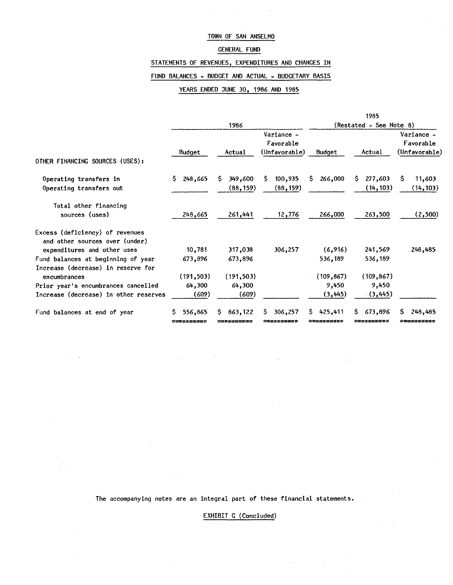## GENERAL FUND

STATEMENTS OF REVENUES, EXPENDITURES AND CHANGES IN

#### FUND BALANCES - BUDGET AND ACTUAL - BUDGETARY BASIS

#### YEARS ENDED JUNE 30, 1986 AND 1985

|                                                                                                  |                       |                             |                                          |                            | 1985                        |                                          |  |
|--------------------------------------------------------------------------------------------------|-----------------------|-----------------------------|------------------------------------------|----------------------------|-----------------------------|------------------------------------------|--|
|                                                                                                  |                       | 1986                        |                                          |                            | (Restated - See Note 8)     |                                          |  |
| OTHER FINANCING SOURCES (USES):                                                                  | Budget                | Actual                      | Variance -<br>Favorable<br>(Unfavorable) | Budget                     | Actual                      | Variance -<br>Favorable<br>(Unfavorable) |  |
| Operating transfers in<br>Operating transfers out                                                | S.<br>248,665         | 349,600<br>S.<br>(88, 159)  | 100,935<br>S.<br>(88, 159)               | 266,000<br>S.              | 277,603<br>S.<br>(14, 103)  | S<br>11,603<br>(14, 103)                 |  |
| Total other financing<br>sources (uses)                                                          | 248,665               | 261,441                     | 12,776                                   | 266,000                    | 263,500                     | (2,500)                                  |  |
| Excess (deficiency) of revenues<br>and other sources over (under)<br>expenditures and other uses | 10,781                | 317,038                     | 306,257                                  | (6,916)                    | 241,569                     | 248,485                                  |  |
| Fund balances at beginning of year                                                               | 673,896               | 673,896                     |                                          | 536,189                    | 536,189                     |                                          |  |
| Increase (decrease) in reserve for<br>encumbrances                                               | (191, 503)            | (191, 503)                  |                                          | (109, 867)                 | (109, 867)                  |                                          |  |
| Prior year's encumbrances cancelled                                                              | 64,300                | 64,300                      |                                          | 9,450                      | 9,450                       |                                          |  |
| Increase (decrease) in other reserves                                                            | (609)                 | (609)                       |                                          | (3, 445)                   | (3, 445)                    |                                          |  |
| Fund balances at end of year                                                                     | 556,865<br>========== | 863,122<br>S.<br>3382300C3C | S.<br>306,257<br>2900330002              | S.<br>425,411<br>=38822532 | 673,896<br>S.<br>=o======== | 248,485<br>S.<br>soczeos3e#              |  |

The accompanying notes are an integral part of these financial statements.

 $\mathbb{R}^2$ 

EXHIBIT G (Concluded)

 $\sim$   $\sim$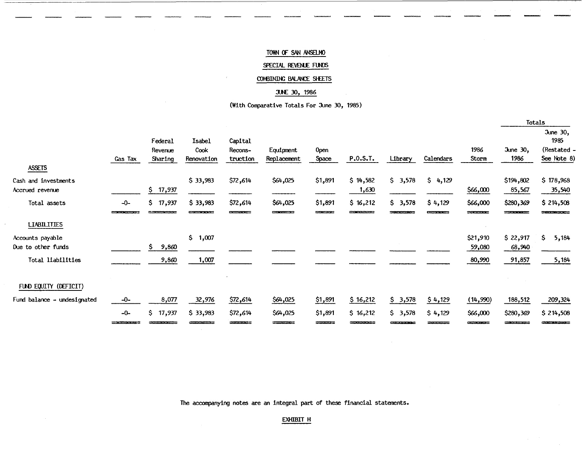#### SPECIAL REVENUE FUNDS

## COMBINING BALANCE SHEETS

#### JUNE 30, 1986

#### (With Comparative Totals For June 30, 1985)

|                                                             |         |                               |                                                         |                                                                             |                                                          |                      |                   |         |                    |                              | Totals                                             |                                                |
|-------------------------------------------------------------|---------|-------------------------------|---------------------------------------------------------|-----------------------------------------------------------------------------|----------------------------------------------------------|----------------------|-------------------|---------|--------------------|------------------------------|----------------------------------------------------|------------------------------------------------|
| <b>ASSETS</b>                                               | Gas Tax | Federal<br>Revenue<br>Sharing | Isabel<br>Cook<br>Renovation                            | Capital<br>Recons-<br>truction                                              | Equipment<br>Replacement                                 | <b>Open</b><br>Space | P.0.S.T.          | Library | Calendars          | 1986<br>Storm                | June 30,<br>1986                                   | June 30,<br>1985<br>(Restated -<br>See Note 8) |
| Cash and investments<br>Accrued revenue                     |         | \$17,937                      | \$33,983                                                | \$72,614                                                                    | \$64,025                                                 | \$1,891              | \$14,582<br>1,630 | \$3,578 | \$4,129            | \$66,000                     | \$194,802<br>85,567                                | \$178,968<br>35,540                            |
| Total assets                                                | $-0-$   | \$17,937                      | \$33,983<br><b><i><u>DESCRIPTION CONTINUES.</u></i></b> | \$72,614<br><b><i><u>Property of the Community of the Community</u></i></b> | \$64,025<br><b>The Second Contract Contract Contract</b> | \$1,891              | \$16,212          | \$3,578 | \$4,129<br>------- | \$66,000<br>كالمتحادثات      | \$280,369<br><b><i><u>Property Section</u></i></b> | \$214,508<br><b><i>PERSONAL PROPERTY</i></b>   |
| <b>LIABILITIES</b>                                          |         |                               |                                                         |                                                                             |                                                          |                      |                   |         |                    |                              |                                                    |                                                |
| Accounts payable<br>Due to other funds<br>Total liabilities |         | \$.<br>9,860<br>9,860         | \$1,007<br>1,007                                        |                                                                             |                                                          |                      |                   |         |                    | \$21,910<br>59,080<br>80,990 | \$22,917<br>68,940<br>91,857                       | \$.<br>5,184<br>5,184                          |
| FUND EQUITY (DEFICIT)                                       |         |                               |                                                         |                                                                             |                                                          |                      |                   |         |                    |                              |                                                    |                                                |
| Fund balance - undesignated                                 | $-0-$   | 8,077                         | 32,976                                                  | \$72,614                                                                    | \$64,025                                                 | \$1,891              | \$16,212          | \$3,578 | \$4,129            | (14, 990)                    | 188,512                                            | 209,324                                        |
|                                                             | $-0-$   | \$17,937                      | \$33,983                                                | \$72,614                                                                    | \$64,025                                                 | \$1,891              | \$16,212          | \$3,578 | \$4,129            | \$66,000                     | \$280,369                                          | \$214,508                                      |

The accompanying notes are an integral part of these financial statements.

 $\sim$ 

#### EXHIBIT **H**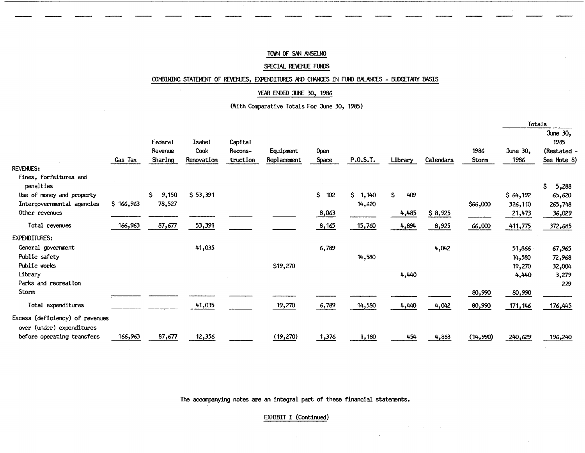#### SPECIAL REVENUE FUNDS

#### COMBINING STATEMENT OF REVENJES, EXPENDITURES AND CHANGES IN FUND BALANCES - BUDGETARY BASIS

#### YEAR ENDED JUNE 30, 1986

(With Comparative Totals For June 30, 1985)

|                                                              |           |                               |                              |                                |                          |               |             |           |           |               | Totals           |                                                |
|--------------------------------------------------------------|-----------|-------------------------------|------------------------------|--------------------------------|--------------------------|---------------|-------------|-----------|-----------|---------------|------------------|------------------------------------------------|
|                                                              | Gas Tax   | Federal<br>Revenue<br>Sharing | Isabel<br>Cook<br>Renovation | Capital<br>Recons-<br>truction | Equipment<br>Replacement | Open<br>Space | P.O.S.T.    | Library   | Calendars | 1986<br>Storm | June 30,<br>1986 | June 30,<br>1985<br>(Restated -<br>See Note 8) |
| <b>REVENUES:</b>                                             |           |                               |                              |                                |                          |               |             |           |           |               |                  |                                                |
| Fines, forfeitures and<br>penalties                          |           |                               |                              |                                |                          |               |             |           |           |               |                  | \$<br>5,288                                    |
| Use of money and property                                    |           | \$.<br>9,150                  | \$53,391                     |                                |                          | \$<br>102     | S.<br>1,140 | Ŝ.<br>409 |           |               | \$64,192         | 65,620                                         |
| Intergovernmental agencies                                   | \$166,963 | 78,527                        |                              |                                |                          |               | 14,620      |           |           | \$66,000      | 326,110          | 265,748                                        |
| Other revenues                                               |           |                               |                              |                                |                          | 8,063         |             | 4,485     | \$8,925   |               | 21,473           | 36,029                                         |
| Total revenues                                               | 166,963   | 87,677                        | 53,391                       |                                |                          | 8,165         | 15,760      | 4,894     | 8,925     | 66,000        | 411,775          | 372,685                                        |
| <b>EXPENDITURES:</b>                                         |           |                               |                              |                                |                          |               |             |           |           |               |                  |                                                |
| General government                                           |           |                               | 41,035                       |                                |                          | 6,789         |             |           | 4,042     |               | 51,866           | 67,965                                         |
| Public safety                                                |           |                               |                              |                                |                          |               | 14,580      |           |           |               | 14,580           | 72,968                                         |
| Public works                                                 |           |                               |                              |                                | \$19,270                 |               |             |           |           |               | 19,270           | 32,004                                         |
| Library                                                      |           |                               |                              |                                |                          |               |             | 4,440     |           |               | 4,440            | 3,279                                          |
| Parks and recreation                                         |           |                               |                              |                                |                          |               |             |           |           |               |                  | 229                                            |
| Storm                                                        |           |                               |                              |                                |                          |               |             |           |           | 80,990        | 80,990           |                                                |
| Total expenditures                                           |           |                               | 41,035                       |                                | 19,270                   | 6,789         | 14,580      | 4,440     | 4,042     | 80,990        | 171, 146         | 176,445                                        |
| Excess (deficiency) of revenues<br>over (under) expenditures |           |                               |                              |                                |                          |               |             |           |           |               |                  |                                                |
| before operating transfers                                   | 166,963   | 87,677                        | 12,356                       |                                | (19, 270)                | 1,376         | 1,180       | 454       | 4,883     | (14, 990)     | 240,629          | 196,240                                        |

The accompanying notes are an integral part of these financial statements.

EXHIBIT I (Continued)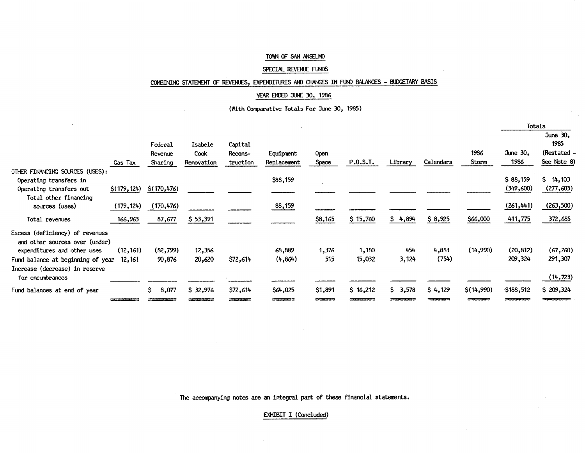#### SPECIAL REVENUE FUNDS

## COMBINING STATEMENT OF REVENLES, EXPENDITURES AND CHANGES IN FUND BALANCES - BUDGETARY BASIS

#### YEAR ENDED JUNE 30, 1986

(With Comparative Totals For June 30, 1985)

|                                                                   |              |                               |                               |                                |                                         |               |          |         |           |               |                  | Totals                                         |
|-------------------------------------------------------------------|--------------|-------------------------------|-------------------------------|--------------------------------|-----------------------------------------|---------------|----------|---------|-----------|---------------|------------------|------------------------------------------------|
|                                                                   | Gas Tax      | Federal<br>Revenue<br>Sharing | Isabele<br>Cook<br>Renovation | Capital<br>Recons-<br>truction | Equipment<br>Replacement                | 0pen<br>Space | P.O.S.T. | Library | Calendars | 1986<br>Storm | June 30,<br>1986 | June 30,<br>1985<br>(Restated -<br>See Note 8) |
| OTHER FINANCING SOURCES (USES):                                   |              |                               |                               |                                |                                         |               |          |         |           |               |                  |                                                |
| Operating transfers in                                            |              |                               |                               |                                | \$88,159                                |               |          |         |           |               | \$88,159         | \$4,103                                        |
| Operating transfers out                                           | \$(179, 124) | \$(170, 476)                  |                               |                                |                                         |               |          |         |           |               | (349,600)        | (277,603)                                      |
| Total other financing                                             |              |                               |                               |                                |                                         |               |          |         |           |               |                  |                                                |
| sources (uses)                                                    | (179, 124)   | (170, 476)                    |                               |                                | 88,159                                  |               |          |         |           |               | (261, 441)       | (263,500)                                      |
| Total revenues                                                    | 166,963      | 87,677                        | \$53,391                      |                                |                                         | \$8,165       | \$15,760 | \$4,894 | \$8,925   | \$66,000      | 411,775          | 372,685                                        |
| Excess (deficiency) of revenues<br>and other sources over (under) |              |                               |                               |                                |                                         |               |          |         |           |               |                  |                                                |
| expenditures and other uses                                       | (12, 161)    | (82, 799)                     | 12,356                        |                                | 68,889                                  | 1,376         | 1,180    | 454     | 4,883     | (14,990)      | (20, 812)        | (67,260)                                       |
| Fund balance at beginning of year                                 | 12,161       | 90,876                        | 20,620                        | \$72,614                       | (4, 864)                                | 515           | 15,032   | 3,124   | (754)     |               | 209,324          | 291,307                                        |
| Increase (decrease) in reserve<br>for encumbrances                |              |                               |                               |                                |                                         |               |          |         |           |               |                  | (14, 723)                                      |
|                                                                   |              |                               |                               |                                |                                         |               |          |         |           |               |                  |                                                |
| Fund balances at end of year                                      |              | Ŝ.<br>8,077                   | \$32,976                      | \$72,614                       | \$64,025                                | \$1,891       | \$16,212 | \$3,578 | \$4,129   | \$(14,990)    | \$188,512        | \$209,324                                      |
|                                                                   |              |                               |                               | ------                         | <b>The Company of Company's Service</b> | --------      | _______  |         |           |               |                  | and in a company in the company                |

The accompanying notes are an integral part of these financial statements.

EXHIBIT I (Concluded)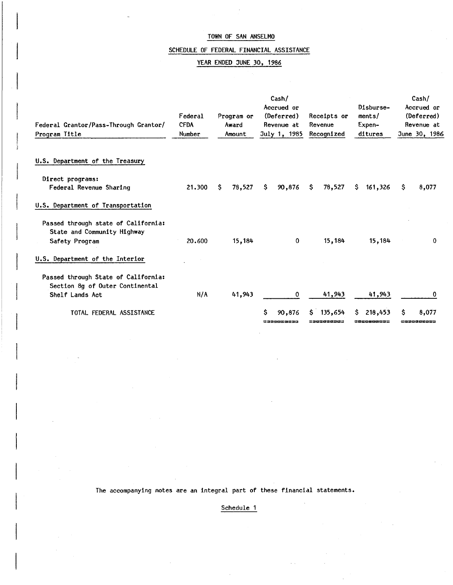## SCHEDULE OF FEDERAL FINANCIAL ASSISTANCE

## YEAR ENDED JUNE 30, 1986

| Federal Grantor/Pass-Through Grantor/<br>Program Title                 | Federal<br><b>CFDA</b><br>Number | Program or<br>Award<br>Amount | Cash/<br>Accrued or<br>(Deferred)<br>Revenue at<br>July 1, 1985 | Receipts or<br>Revenue<br>Recognized | Disburse-<br>ments/<br>Expen-<br>ditures | Cash/<br>Accrued or<br>(Deferred)<br>Revenue at<br>June 30, 1986 |
|------------------------------------------------------------------------|----------------------------------|-------------------------------|-----------------------------------------------------------------|--------------------------------------|------------------------------------------|------------------------------------------------------------------|
| U.S. Department of the Treasury                                        |                                  |                               |                                                                 |                                      |                                          |                                                                  |
| Direct programs:<br>Federal Revenue Sharing                            | 21,300                           | S.<br>78,527                  | Ŝ.<br>90,876                                                    | 78,527<br>S.                         | 161,326<br>S.                            | S<br>8,077                                                       |
| U.S. Department of Transportation                                      |                                  |                               |                                                                 |                                      |                                          |                                                                  |
| Passed through state of California:<br>State and Community Highway     |                                  |                               |                                                                 |                                      |                                          |                                                                  |
| Safety Program                                                         | 20.600                           | 15,184                        | 0                                                               | 15,184                               | 15,184                                   | 0                                                                |
| U.S. Department of the Interior                                        |                                  |                               |                                                                 |                                      |                                          |                                                                  |
| Passed through State of California:<br>Section 8g of Outer Continental |                                  |                               |                                                                 |                                      |                                          |                                                                  |
| Shelf Lands Act                                                        | N/A                              | 41,943                        | 0                                                               | 41,943                               | 41,943                                   | 0                                                                |
| TOTAL FEDERAL ASSISTANCE                                               |                                  |                               | Ŝ<br>90,876<br>2333562633                                       | 135,654<br>S.<br>=========           | 218,453<br>S.<br>#Gcococo#s              | s<br>8,077<br>« a sa a sa sa sa                                  |

The accompanying notes are an integral part of these financial statements.

Schedule 1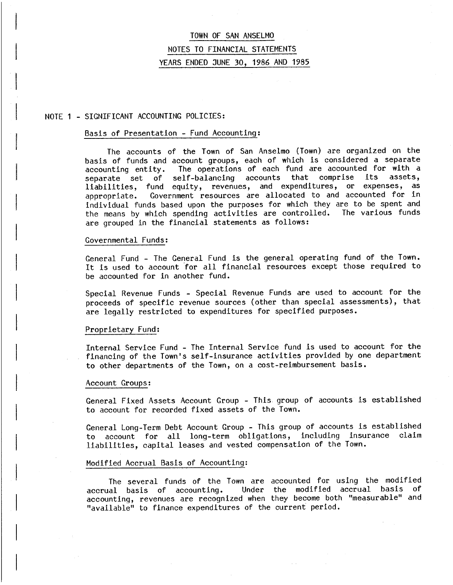## NOTE 1 - SIGNIFICANT ACCOUNTING POLICIES:

#### Basis of Presentation - Fund Accounting:

The accounts of the Town of San Anselmo (Town) are organized on the basis of funds and account groups, each of which is considered a separate accounting entity. The operations of each fund are accounted for with a senarate set of self-balancing accounts that comprise its assets, separate set of self-balancing accounts that comprise liabilities, fund equity, revenues, and expenditures, or expenses, as appropriate. Government resources are allocated to and accounted for in individual funds based upon the purposes for which they are to be spent and the means by which spending activities are controlled. The various funds the means by which spending activities are controlled. are grouped in the financial statements as follows:

#### Governmental Funds:

General Fund - The General Fund is the general operating fund of the Town. It is used to account for all financial resources except those required to be accounted for in another fund.

Special Revenue Funds - Special Revenue Funds are used to account for the proceeds of specific revenue sources (other than special assessments), that are legally restricted to expenditures for specified purposes.

#### Proprietary Fund:

Internal Service Fund - The Internal Service fund is used to account for the financing of the Town's self-insurance activities provided by one department to other departments of the Town, on a cost-reimbursement basis.

#### Account Groups:

General Fixed Assets Account Group - This group of accounts is established to account for recorded fixed assets of the Town.

General Long-Term Debt Account Group - This group of accounts is established<br>to account for all long-term obligations, including insurance claim to account for all long-term obligations, including insurance liabilities, capital leases and vested compensation of the Town.

#### Modified Accrual Basis of Accounting:

The several funds of the Town are accounted for using the modified<br>all hasis of accounting, under the modified accrual basis of accrual basis of accounting. Under the modified accrual basis accounting, revenues are recognized when they become both "measurable" and "available" to finance expenditures of the current period.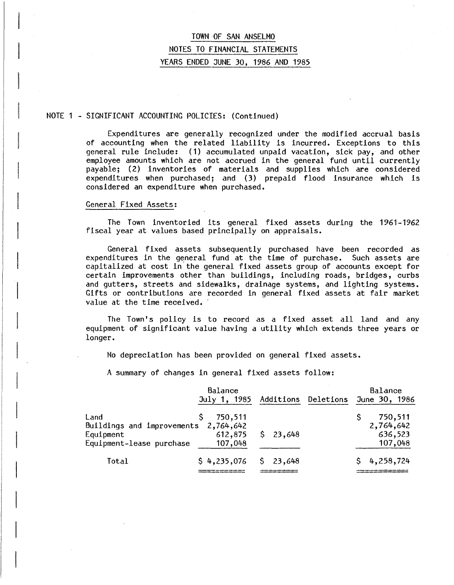#### NOTE 1 - SIGNIFICANT ACCOUNTING POLICIES: (Continued)

Expenditures are generally recognized under the modified accrual basis of accounting when the related liability is incurred. Exceptions to this general rule include: (1) accumulated unpaid vacation, sick pay, and other employee amounts which are not accrued in the general fund until currently payable; (2) inventories of materials and supplies which are considered expenditures when purchased; and (3) prepaid flood insurance which is considered an expenditure when purchased.

#### General Fixed Assets:

The Town inventoried its general fixed assets during the 1961-1962 fiscal year at values based principally on appraisals.

General fixed assets subsequently purchased have been recorded as expenditures in the general fund at the time of purchase. Such assets are capitalized at cost in' the general fixed assets group of accounts except for certain improvements other than buildings, including roads, bridges, curbs and gutters, streets and sidewalks, drainage systems, and lighting systems. Gifts or contributions are recorded in general fixed assets at fair market value at the time received.

The Town's policy is to record as a fixed asset all land and any equipment of significant value having a utility which extends three years or longer.

No depreciation has been provided on general fixed assets.

A summary of changes in general fixed assets follow:

|                                                                                       | Balance<br>July 1, 1985       | Additions | Deletions | Balance<br>June 30, 1986                   |
|---------------------------------------------------------------------------------------|-------------------------------|-----------|-----------|--------------------------------------------|
| Land<br>Buildings and improvements 2,764,642<br>Equipment<br>Equipment-lease purchase | 750,511<br>612,875<br>107,048 | \$23,648  |           | 750,511<br>2,764,642<br>636,523<br>107,048 |
| Total                                                                                 | \$4,235,076                   | \$23,648  |           | \$4,258,724                                |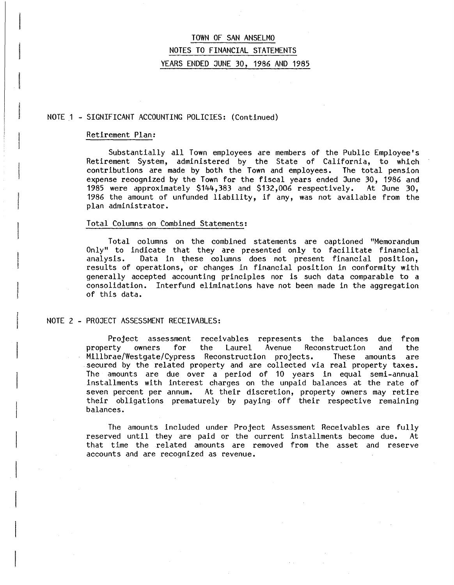## NOTE 1 - SIGNIFICANT ACCOUNTING POLICIES: (Continued)

#### Retirement Plan:

Substantially all Town employees are members of the Public Employee's Retirement System, administered by the State of California, to which contributions are made by both the Town and employees. The total pension expense recognized by the Town for the fiscal years ended June 30, 1986 and 1985 were approximately \$144,383 and \$132,006 respectively. At June 30, 1986 the amount of unfunded liability, if any, was not available from the plan administrator.

#### Total Columns on Combined Statements:

Total columns on the combined statements are captioned "Memorandum Only" to indicate that they are presented only to facilitate financial analysis. Data in these columns does not present financial position, results of operations, or changes in financial position in conformity with generally accepted accounting principles nor is such data comparable to a consolidation. Interfund eliminations have not been made in the aggregation of this data.

#### NOTE 2 - PROJECT ASSESSMENT RECEIVABLES:

Project assessment receivables represents the balances due from<br>property owners for the Laurel Avenue Reconstruction and the Reconstruction and the Millbrae/Westgate/Cypress Reconstruction projects. These amounts are secured by the related property and are collected via real property taxes. The amounts are due over a period of 10 years in equal semi-annual installments with interest charges on the unpaid balances at the rate of seven percent per annum. At their discretion, property owners may retire their obligations prematurely by paying off their respective remaining balances.

The amounts included under Project Assessment Receivables are fully reserved until they are paid or the current installments become due. At that time the related amounts are removed from the asset and reserve accounts and are recognized as revenue.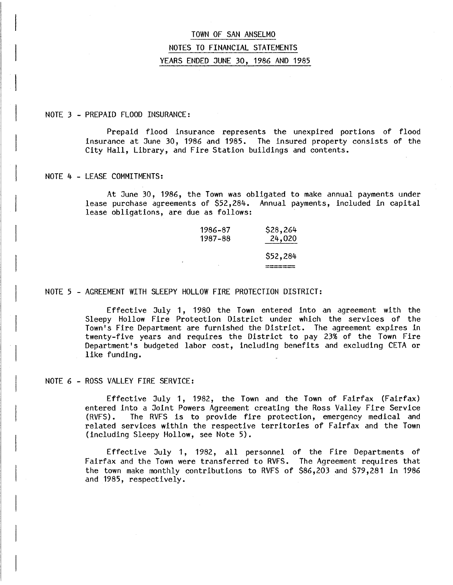#### NOTE 3 - PREPAID FLOOD INSURANCE:

Prepaid flood insurance represents the unexpired portions of flood insurance at June 30, 1986 and 1985. The insured property consists of the City Hall, Library, and Fire Station buildings and contents.

#### NOTE 4 - LEASE COMMITMENTS:

At June 30, 1986, the Town was obligated to make annual payments under lease purchase agreements of \$52,284. Annual payments, included in capital lease obligations, are due as follows:

| 1986-87 | \$28,264 |
|---------|----------|
| 1987-88 | 24,020   |
|         | \$52,284 |

#### NOTE 5 - AGREEMENT WITH SLEEPY HOLLOW FIRE PROTECTION DISTRICT:

Effective July 1, 1980 the Town entered into an agreement with the Sleepy Hollow Fire Protection District under which the services of the Town's Fire Department are furnished the District. The agreement expires in twenty-five years and requires the District to pay 23% of the Town Fire Department's budgeted labor cost, including benefits and excluding CETA or like funding.

#### NOTE 6 - ROSS VALLEY FIRE SERVICE:

Effective July 1, 1982, the Town and the Town of Fairfax (Fairfax) entered into a Joint Powers Agreement creating the Ross Valley Fire Service (RVFS). The RVFS is to provide fire protection, emergency medical and related services within the respective territories of Fairfax and the Town (including Sleepy Hollow, see Note 5).

Effective July 1, 1982, all personnel of the Fire Departments of Fairfax and the Town were transferred to RVFS. The Agreement requires that the town make monthly contributions to RVFS of \$86,203 and \$79,281 in 1986 and 1985, respectively.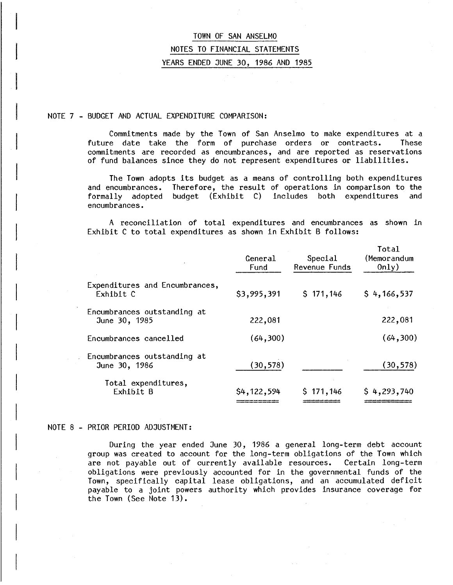#### NOTE 7 - BUDGET AND ACTUAL EXPENDITURE COMPARISON:

Commitments made by the Town of San Anselmo to make expenditures at a future date take the form of purchase orders or contracts. These commitments are recorded as encumbrances, and are reported as reservations of fund balances since they do not represent expenditures or liabilities.

The Town adopts its budget as a means of controlling both expenditures and encumbrances. Therefore, the result of operations in comparison to the formally adopted budget (Exhibit C) includes both expenditures and adopted budget (Exhibit C) includes both expenditures encumbrances.

A reconciliation of total expenditures and encumbrances as shown in Exhibit C to total expenditures as shown in Exhibit B follows:

|                                              | General<br>Fund | Special<br>Revenue Funds | Total<br>(Memorandum<br>0nly) |
|----------------------------------------------|-----------------|--------------------------|-------------------------------|
| Expenditures and Encumbrances,<br>Exhibit C  | \$3,995,391     | \$171,146                | \$4,166,537                   |
| Encumbrances outstanding at<br>June 30, 1985 | 222,081         |                          | 222,081                       |
| Encumbrances cancelled                       | (64, 300)       |                          | (64,300)                      |
| Encumbrances outstanding at<br>June 30, 1986 | (30, 578)       |                          | (30, 578)                     |
| Total expenditures,<br>Exhibit B             | \$4,122,594     | \$171,146                | \$4,293,740                   |

#### NOTE 8 - PRIOR PERIOD ADJUSTMENT:

During the year ended June 30, 1986 a general long-term debt account group was created to account for the long-term obligations of the Town which are not payable out of currently available resources. Certain long-term obligations were previously accounted for in the governmental funds of the Town, specifically capital lease obligations, and an accumulated deficit payable to a joint powers authority which provides insurance coverage for the Town (See Note 13).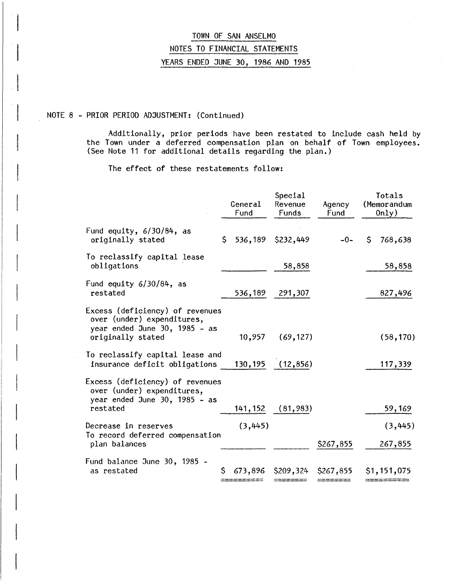## NOTE 8 - PRIOR PERIOD ADJUSTMENT: (Continued)

Additionally, prior periods have been restated to include cash held by the Town under a deferred compensation plan on behalf of Town employees. (See Note 11 for additional details regarding the plan.)

The effect of these restatements follow:

|                                                                                                                     |    | General<br>Fund | Special<br>Revenue<br>Funds | Agency<br>Fund |    | Totals<br>(Memorandum<br>0nly) |
|---------------------------------------------------------------------------------------------------------------------|----|-----------------|-----------------------------|----------------|----|--------------------------------|
| Fund equity, $6/30/84$ , as<br>originally stated                                                                    | Ŝ. |                 | 536,189 \$232,449           | $-0-$          | Ŝ. | 768,638                        |
| To reclassify capital lease<br>obligations                                                                          |    |                 | 58,858                      |                |    | 58,858                         |
| Fund equity $6/30/84$ , as<br>restated                                                                              |    | 536,189         | 291,307                     |                |    | 827,496                        |
| Excess (deficiency) of revenues<br>over (under) expenditures,<br>year ended June 30, 1985 - as<br>originally stated |    | 10,957          | (69, 127)                   |                |    | (58, 170)                      |
| To reclassify capital lease and<br>insurance deficit obligations                                                    |    |                 | 130, 195 (12, 856)          |                |    | 117,339                        |
| Excess (deficiency) of revenues<br>over (under) expenditures,<br>year ended June 30, 1985 - as<br>restated          |    |                 | 141, 152 (81, 983)          |                |    | 59,169                         |
| Decrease in reserves                                                                                                |    | (3, 445)        |                             |                |    | (3, 445)                       |
| To record deferred compensation<br>plan balances                                                                    |    |                 |                             | \$267,855      |    | 267,855                        |
| Fund balance June 30, 1985 -<br>as restated                                                                         |    | 673,896         | \$209,324                   | \$267,855      |    | \$1,151,075                    |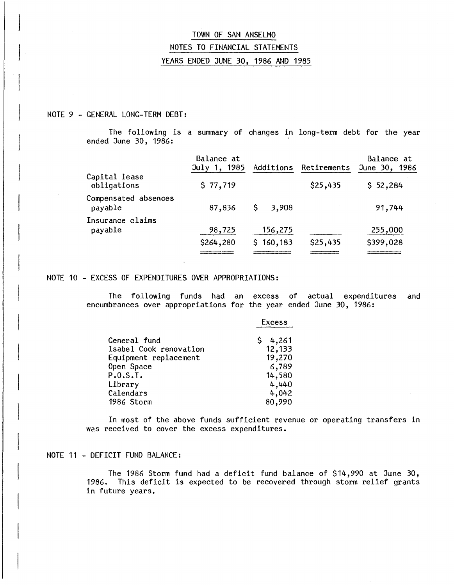## NOTE 9 - GENERAL LONG-TERM DEBT:

The following is a summary of changes in long-term debt for the year ended June 30, 1986:

|                                 | Balance at<br>July 1, 1985 | Additions    | Retirements | Balance at<br>June 30, 1986 |
|---------------------------------|----------------------------|--------------|-------------|-----------------------------|
| Capital lease<br>obligations    | \$77,719                   |              | \$25,435    | \$52,284                    |
| Compensated absences<br>payable | 87,836                     | \$.<br>3,908 |             | 91,744                      |
| Insurance claims<br>payable     | 98,725                     | 156,275      |             | 255,000                     |
|                                 | \$264,280                  | \$160,183    | \$25,435    | \$399,028                   |
|                                 |                            |              |             |                             |

#### NOTE 10 - EXCESS OF EXPENDITURES OVER APPROPRIATIONS:

The following funds had an excess of actual expenditures and encumbrances over appropriations for the year ended June 30, 1986:

|                        | Excess  |
|------------------------|---------|
| General fund           | \$4,261 |
| Isabel Cook renovation | 12,133  |
| Equipment replacement  | 19,270  |
| Open Space             | 6,789   |
| P.0.S.T.               | 14,580  |
| Library                | 4,440   |
| Calendars              | 4,042   |
| 1986 Storm             | 80,990  |

In most of the above funds sufficient revenue or operating transfers in was received to cover the excess expenditures.

## NOTE 11 - DEFICIT FUND BALANCE:

The 1986 Storm fund had a deficit fund balance of \$14,990 at June 30, 1986. This deficit is expected to be recovered through storm relief grants in future years.